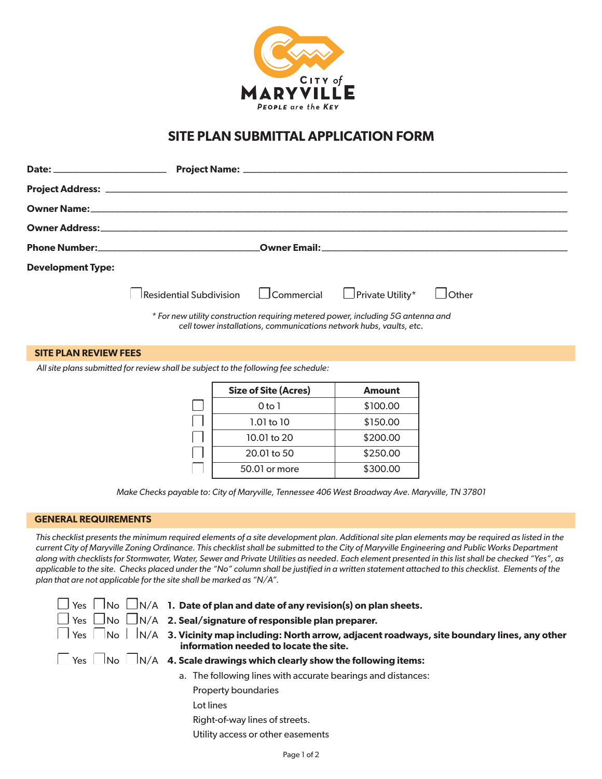

# **SITE PLAN SUBMITTAL APPLICATION FORM**

| <b>Development Type:</b>                                                                                                                                |                                                                                        |  |  |          |  |
|---------------------------------------------------------------------------------------------------------------------------------------------------------|----------------------------------------------------------------------------------------|--|--|----------|--|
|                                                                                                                                                         | $\sqrt{\frac{1}{1}}$ Residential Subdivision $\Box$ Commercial $\Box$ Private Utility* |  |  | l lOther |  |
| * For new utility construction requiring metered power, including 5G antenna and<br>cell tower installations, communications network hubs, vaults, etc. |                                                                                        |  |  |          |  |

### **SITE PLAN REVIEW FEES**

*All site plans submitted for review shall be subject to the following fee schedule:*

| <b>Size of Site (Acres)</b> | <b>Amount</b> |
|-----------------------------|---------------|
| $0$ to $1$                  | \$100.00      |
| $1.01$ to $10$              | \$150.00      |
| 10.01 to 20                 | \$200.00      |
| 20.01 to 50                 | \$250.00      |
| 50.01 or more               | \$300.00      |

*Make Checks payable to: City of Maryville, Tennessee 406 West Broadway Ave. Maryville, TN 37801*

### **GENERAL REQUIREMENTS**

*This checklist presents the minimum required elements of a site development plan. Additional site plan elements may be required as listed in the current City of Maryville Zoning Ordinance. This checklist shall be submitted to the City of Maryville Engineering and Public Works Department along with checklists for Stormwater, Water, Sewer and Private Utilities as needed. Each element presented in this list shall be checked "Yes", as applicable to the site. Checks placed under the "No" column shall be justified in a written statement attached to this checklist. Elements of the plan that are not applicable for the site shall be marked as "N/A".*

|                       |                                 | $\Box$ Yes $\Box$ No $\Box$ N/A |
|-----------------------|---------------------------------|---------------------------------|
|                       |                                 | $\Box$ Yes $\Box$ No $\Box$ N/A |
| $\lceil \ \rceil$ Yes |                                 | $N_o$ $N/A$                     |
|                       | $V_{\alpha\alpha}$ $N_{\alpha}$ | NI/A                            |

- 1. Date of plan and date of any revision(s) on plan sheets.
- 2. Seal/signature of responsible plan preparer.
- 3. Vicinity map including: North arrow, adjacent roadways, site boundary lines, any other  **information needed to locate the site.**

☐ Yes ☐No ☐N/A **4. Scale drawings which clearly show the following items:**

- a. The following lines with accurate bearings and distances:
	- Property boundaries
	- Lot lines
	- Right-of-way lines of streets.
	- Utility access or other easements